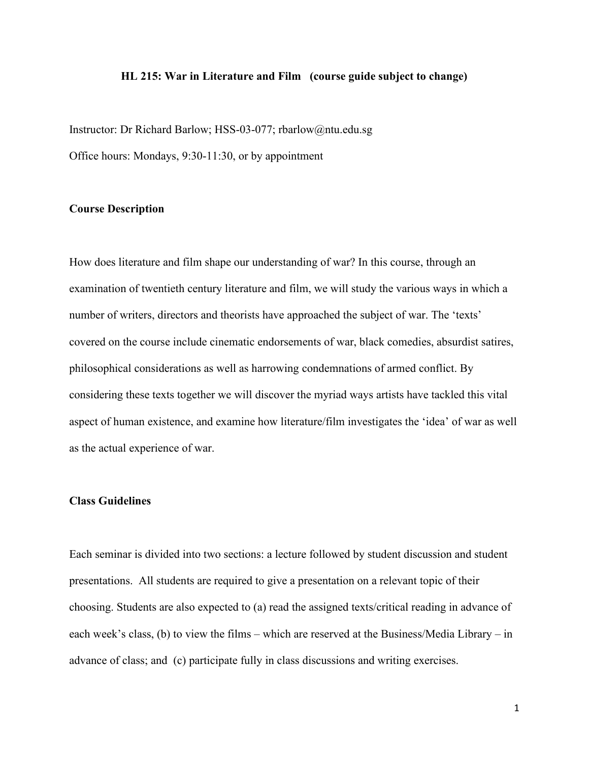#### **HL 215: War in Literature and Film (course guide subject to change)**

Instructor: Dr Richard Barlow; HSS-03-077; rbarlow@ntu.edu.sg Office hours: Mondays, 9:30-11:30, or by appointment

### **Course Description**

How does literature and film shape our understanding of war? In this course, through an examination of twentieth century literature and film, we will study the various ways in which a number of writers, directors and theorists have approached the subject of war. The 'texts' covered on the course include cinematic endorsements of war, black comedies, absurdist satires, philosophical considerations as well as harrowing condemnations of armed conflict. By considering these texts together we will discover the myriad ways artists have tackled this vital aspect of human existence, and examine how literature/film investigates the 'idea' of war as well as the actual experience of war.

### **Class Guidelines**

Each seminar is divided into two sections: a lecture followed by student discussion and student presentations. All students are required to give a presentation on a relevant topic of their choosing. Students are also expected to (a) read the assigned texts/critical reading in advance of each week's class, (b) to view the films – which are reserved at the Business/Media Library – in advance of class; and (c) participate fully in class discussions and writing exercises.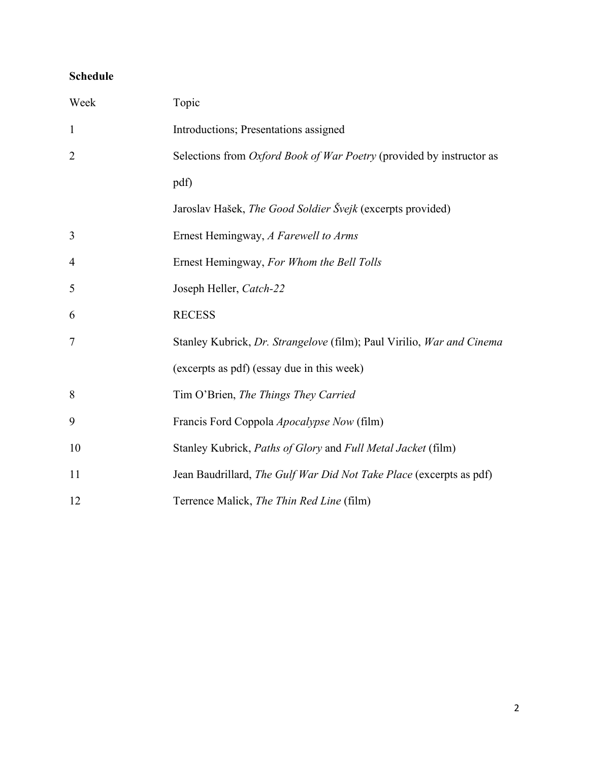## **Schedule**

| Week           | Topic                                                                 |
|----------------|-----------------------------------------------------------------------|
| $\mathbf{1}$   | Introductions; Presentations assigned                                 |
| $\overline{2}$ | Selections from Oxford Book of War Poetry (provided by instructor as  |
|                | pdf)                                                                  |
|                | Jaroslav Hašek, The Good Soldier Švejk (excerpts provided)            |
| 3              | Ernest Hemingway, A Farewell to Arms                                  |
| 4              | Ernest Hemingway, For Whom the Bell Tolls                             |
| 5              | Joseph Heller, Catch-22                                               |
| 6              | <b>RECESS</b>                                                         |
| 7              | Stanley Kubrick, Dr. Strangelove (film); Paul Virilio, War and Cinema |
|                | (excerpts as pdf) (essay due in this week)                            |
| 8              | Tim O'Brien, The Things They Carried                                  |
| 9              | Francis Ford Coppola Apocalypse Now (film)                            |
| 10             | Stanley Kubrick, Paths of Glory and Full Metal Jacket (film)          |
| 11             | Jean Baudrillard, The Gulf War Did Not Take Place (excerpts as pdf)   |
| 12             | Terrence Malick, The Thin Red Line (film)                             |